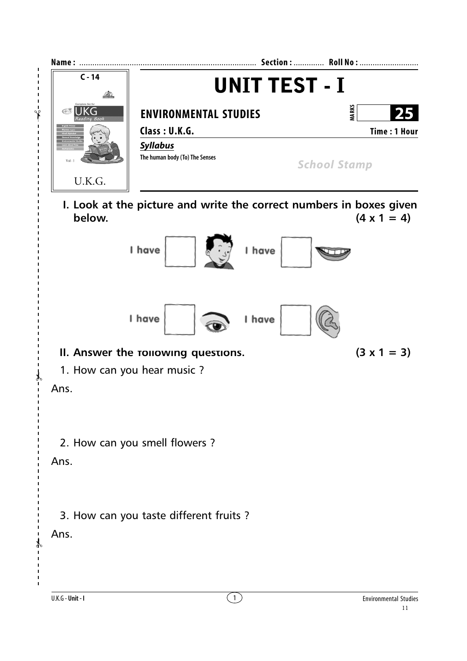

**I. Look at the picture and write the correct numbers in boxes given below.** (4 x 1 = 4)



## **II.** Answer the rollowing questions.  $(3 \times 1 = 3)$

## 1. How can you hear music ?

Ans.

✃

## 2. How can you smell flowers ?

Ans.

3. How can you taste different fruits ?

Ans.

✃